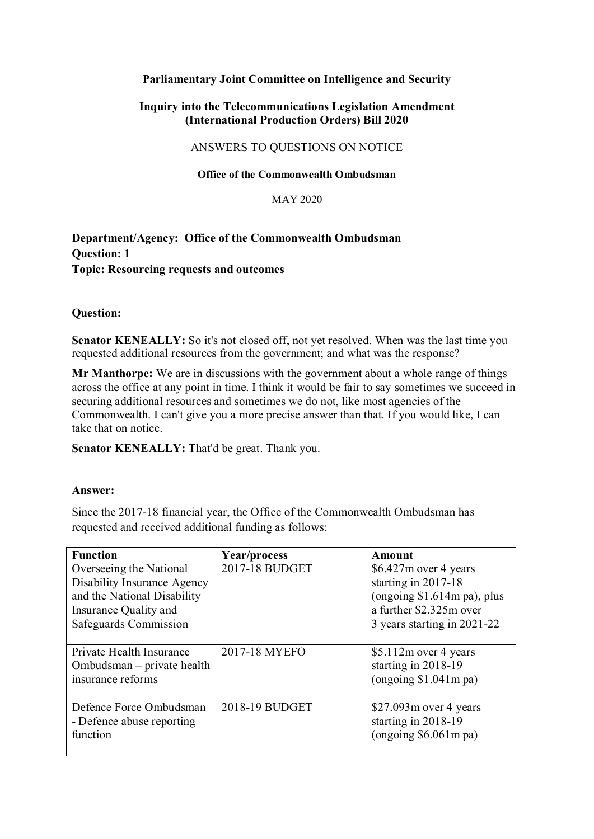# **Parliamentary Joint Committee on Intelligence and Security**

# **Inquiry into the Telecommunications Legislation Amendment (International Production Orders) Bill 2020**

## ANSWERS TO QUESTIONS ON NOTICE

## **Office of the Commonwealth Ombudsman**

#### MAY 2020

# **Department/Agency: Office of the Commonwealth Ombudsman Question: 1 Topic: Resourcing requests and outcomes**

## **Question:**

 **Senator KENEALLY:** So it's not closed off, not yet resolved. When was the last time you requested additional resources from the government; and what was the response?

 **Mr Manthorpe:** We are in discussions with the government about a whole range of things across the office at any point in time. I think it would be fair to say sometimes we succeed in securing additional resources and sometimes we do not, like most agencies of the Commonwealth. I can't give you a more precise answer than that. If you would like, I can take that on notice.

**Senator KENEALLY:** That'd be great. Thank you.

## **Answer:**

 Since the 2017-18 financial year, the Office of the Commonwealth Ombudsman has requested and received additional funding as follows:

| <b>Function</b>             | Year/process   | Amount                       |
|-----------------------------|----------------|------------------------------|
| Overseeing the National     | 2017-18 BUDGET | $$6.427m$ over 4 years       |
| Disability Insurance Agency |                | starting in 2017-18          |
| and the National Disability |                | (ongoing $$1.614m$ pa), plus |
| Insurance Quality and       |                | a further \$2.325m over      |
| Safeguards Commission       |                | 3 years starting in 2021-22  |
|                             |                |                              |
| Private Health Insurance    | 2017-18 MYEFO  | $$5.112m$ over 4 years       |
| Ombudsman – private health  |                | starting in 2018-19          |
| insurance reforms           |                | (ongoing \$1.041m pa)        |
|                             |                |                              |
| Defence Force Ombudsman     | 2018-19 BUDGET | $$27.093m$ over 4 years      |
| - Defence abuse reporting   |                | starting in 2018-19          |
| function                    |                | (ongoing \$6.061m pa)        |
|                             |                |                              |